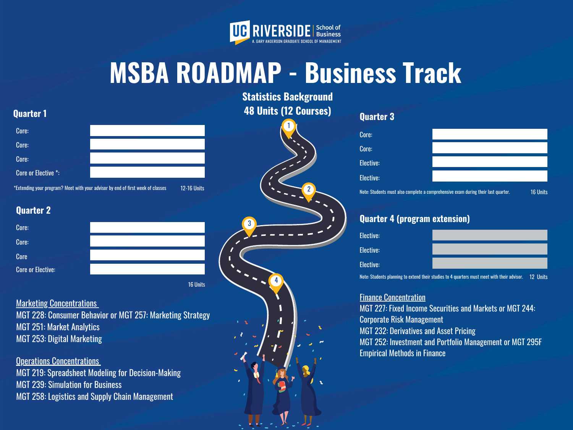3

4



# **MSBA ROADMAP - Business Track**

**Statistics Background 48 Units (12 Courses)**

### **Quarter 1**

#### **Quarter 2**

16 Units

#### **Marketing Concentrations**

## **Quarter 3**

#### **Quarter 4 (program extension)**

**Finance Concentration** MGT 227: Fixed Income Securities and Markets or MGT 244: Corporate Risk Management MGT 232: Derivatives and Asset Pricing MGT 252: Investment and Portfolio Management or MGT 295F Empirical Methods in Finance

| <b>Elective:</b>                                                                                     |  |
|------------------------------------------------------------------------------------------------------|--|
| <b>Elective:</b>                                                                                     |  |
| <b>Elective:</b>                                                                                     |  |
| 1990年,1990年,1990年,1990年,1990年,1990年,1990年,1990年,1990年,1990年,1990年,1990年,1990年,1990年,1990年,1990年,1990 |  |

**Operations Concentrations** MGT 219: Spreadsheet Modeling for Decision-Making MGT 239: Simulation for Business MGT 258: Logistics and Supply Chain Management



| Core:                                                                             |  |          |
|-----------------------------------------------------------------------------------|--|----------|
| Core:                                                                             |  |          |
| <b>Elective:</b>                                                                  |  |          |
| <b>Elective:</b>                                                                  |  |          |
| Note: Students must also complete a comprehensive exam during their last quarter. |  | 16 Units |

MGT 228: Consumer Behavior or MGT 257: Marketing Strategy MGT 251: Market Analytics MGT 253: Digital Marketing

| Core:               |                                                                                                       | <b>AC</b> | Core:                                                                             |
|---------------------|-------------------------------------------------------------------------------------------------------|-----------|-----------------------------------------------------------------------------------|
| Core:               |                                                                                                       |           | Core:                                                                             |
| Core:               |                                                                                                       |           | Elective:                                                                         |
| Core or Elective *: |                                                                                                       |           | Elective:                                                                         |
|                     | *Extending your program? Meet with your advisor by end of first week of classes<br><b>12-16 Units</b> |           | Note: Students must also complete a comprehensive exam during their last quarter. |

Note: Students planning to extend their studies to 4 quarters must meet with their advisor. 12 Units